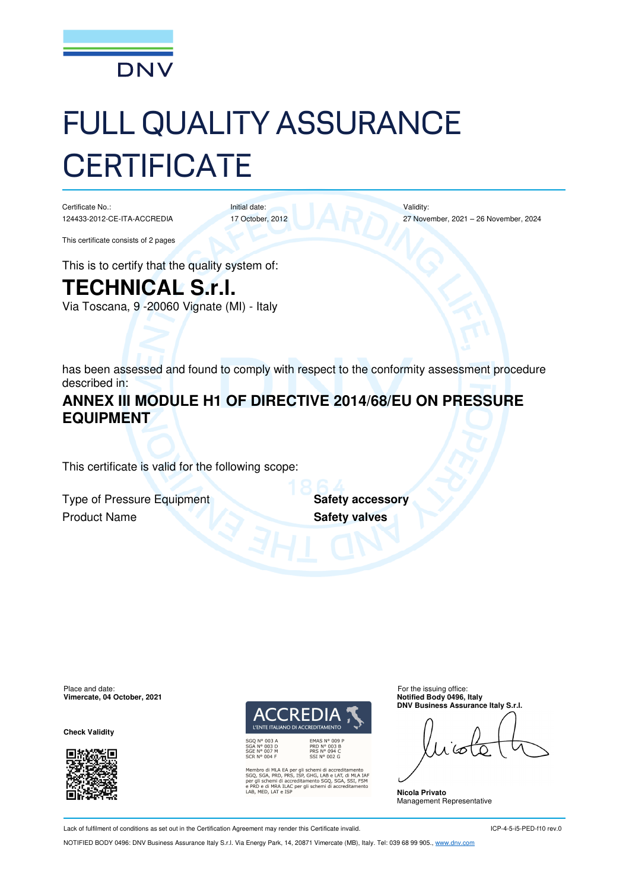

# FULL QUALITY ASSURANCE **CERTIFICATE**

Certificate No.: 124433-2012-CE-ITA-ACCREDIA

17 October, 2012

Initial date:

Validity: 27 November, 2021 – 26 November, 2024

This certificate consists of 2 pages

This is to certify that the quality system of:

# **TECHNICAL S.r.l.**

Via Toscana, 9 -20060 Vignate (MI) - Italy

has been assessed and found to comply with respect to the conformity assessment procedure described in:

## **ANNEX III MODULE H1 OF DIRECTIVE 2014/68/EU ON PRESSURE EQUIPMENT**

This certificate is valid for the following scope:

**Type of Pressure Equipment <b>Safety accessory Product Name Safety valves** 

Place and date:<br> **Place and date:** For the issuing office:<br> **Place and date:** For the issuing office:<br> **Place and date:** For the issuing office: **Vimercate, 04 October, 2021** 

**Check Validity** 





ibro di MLA EA per gli schemi di accreditamento<br>, SGA, PRD, PRS, ISP, GHG, LAB e LAT, di MLA IAF<br>gli schemi di accreditamento SGQ, SGA, SSI, FSM<br>D e di MRA ILAC per gli schemi di accreditamento<br>MED, LAT e ISP

**DNV Business Assurance Italy S.r.l.** 

**Nicola Privato**  Management Representative

Lack of fulfilment of conditions as set out in the Certification Agreement may render this Certificate invalid.

ICP-4-5-i5-PED-f10 rev.0

NOTIFIED BODY 0496: DNV Business Assurance Italy S.r.l. Via Energy Park, 14, 20871 Vimercate (MB), Italy. Tel: 039 68 99 905., www.dnv.com